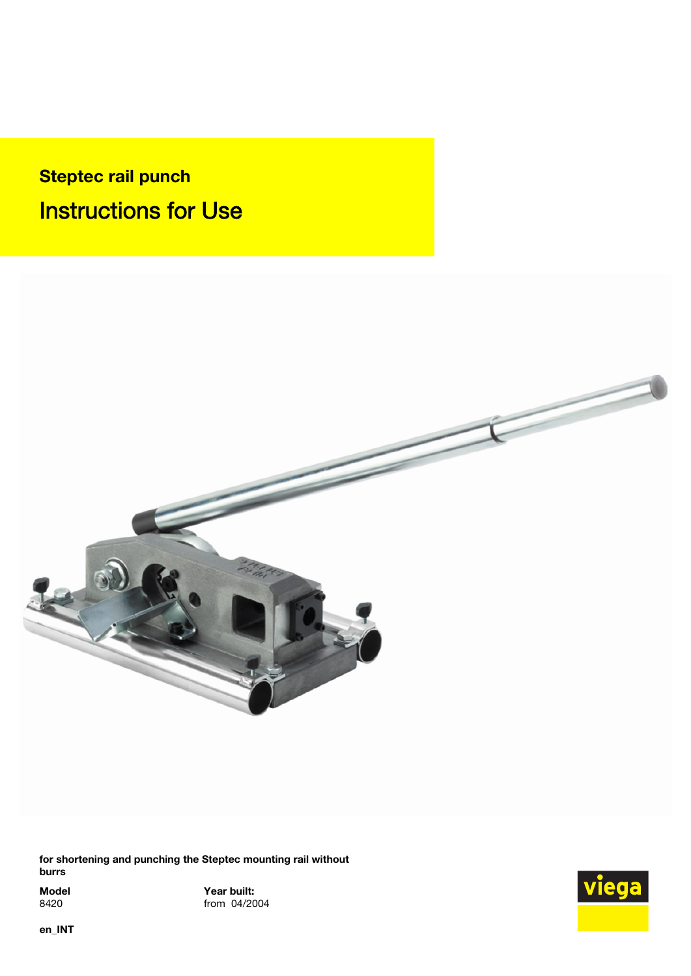## **Steptec rail punch** Instructions for Use



for shortening and punching the Steptec mounting rail without burrs

Model Year built:<br>8420 from 04/20 from 04/2004

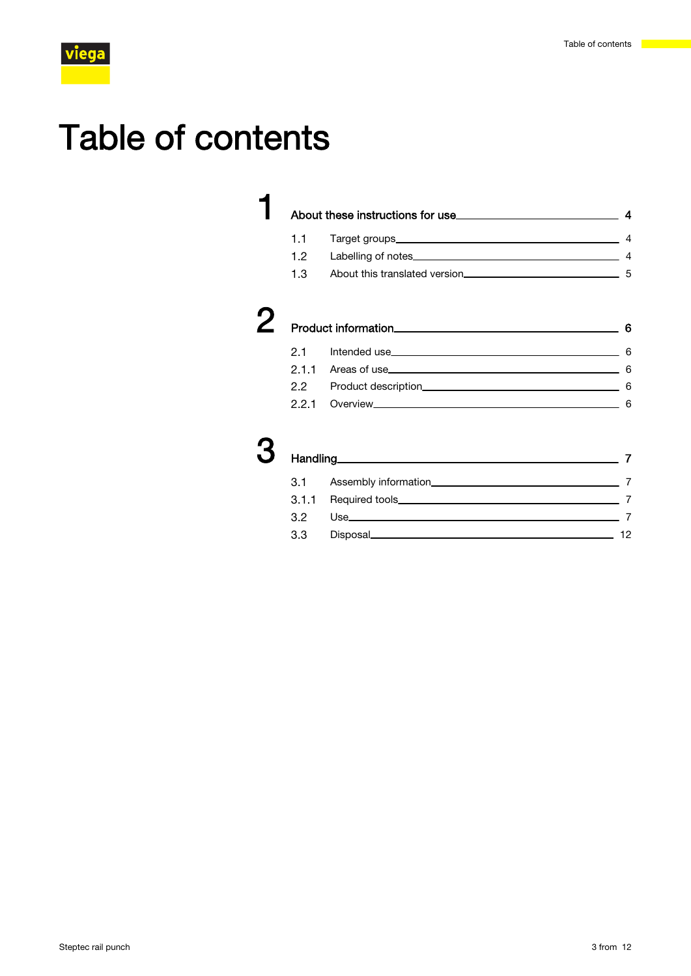## Table of contents

### 1 [About these instructions for use](#page-3-0) 1990 March 2004 1.1 [Target groups](#page-3-0) 4

1.2 [Labelling of notes](#page-3-0) 4 1.3 [About this translated version](#page-4-0) 5

# 2 [Product information](#page-5-0). 6

| 2.1 |   |
|-----|---|
|     |   |
| 2.2 | Б |
|     |   |

| 3 |     |  |    |
|---|-----|--|----|
|   | 3.1 |  |    |
|   |     |  |    |
|   | 32  |  |    |
|   | 3.3 |  | 12 |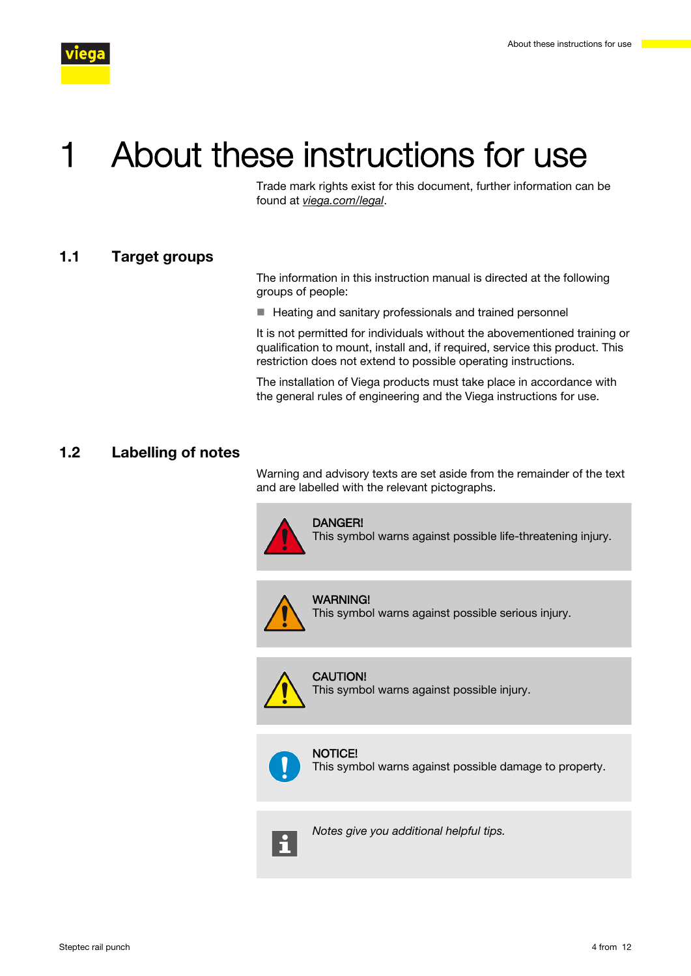<span id="page-3-0"></span>

# About these instructions for use

Trade mark rights exist for this document, further information can be found at *[viega.com/legal](https://www.viega.com/en/meta/footer/legal.html)*.

#### 1.1 Target groups

The information in this instruction manual is directed at the following groups of people:

 $\blacksquare$  Heating and sanitary professionals and trained personnel

It is not permitted for individuals without the abovementioned training or qualification to mount, install and, if required, service this product. This restriction does not extend to possible operating instructions.

The installation of Viega products must take place in accordance with the general rules of engineering and the Viega instructions for use.

#### 1.2 Labelling of notes

Warning and advisory texts are set aside from the remainder of the text and are labelled with the relevant pictographs.



#### DANGER!

This symbol warns against possible life-threatening injury.



WARNING! This symbol warns against possible serious injury.



CAUTION! This symbol warns against possible injury.

### NOTICE!

This symbol warns against possible damage to property.



*Notes give you additional helpful tips.*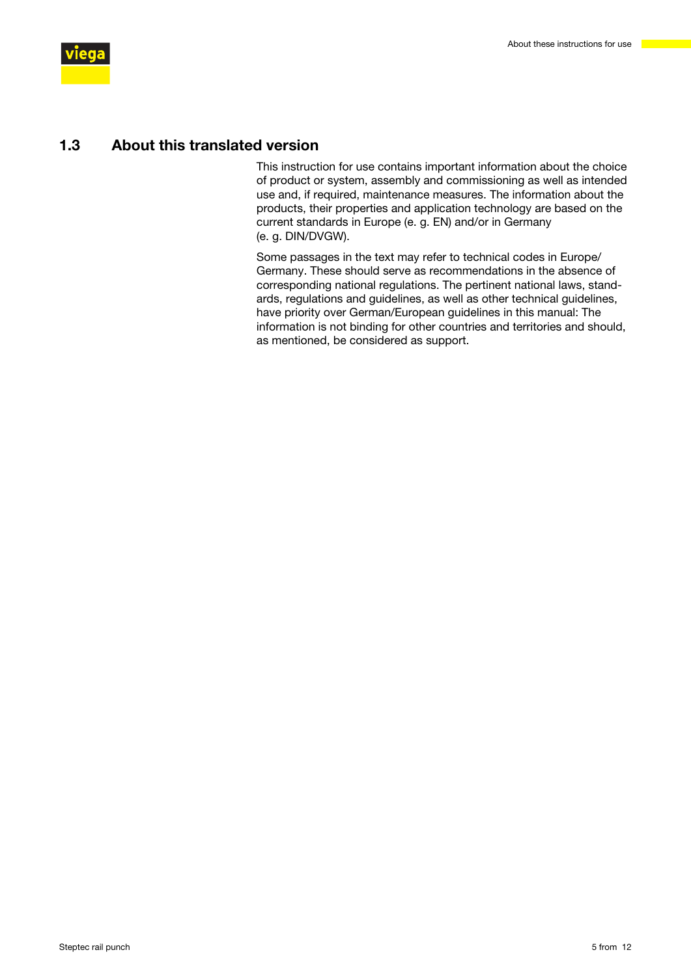<span id="page-4-0"></span>

### 1.3 About this translated version

This instruction for use contains important information about the choice of product or system, assembly and commissioning as well as intended use and, if required, maintenance measures. The information about the products, their properties and application technology are based on the current standards in Europe (e. g. EN) and/or in Germany (e. g. DIN/DVGW).

Some passages in the text may refer to technical codes in Europe/ Germany. These should serve as recommendations in the absence of corresponding national regulations. The pertinent national laws, stand‐ ards, regulations and guidelines, as well as other technical guidelines, have priority over German/European guidelines in this manual: The information is not binding for other countries and territories and should, as mentioned, be considered as support.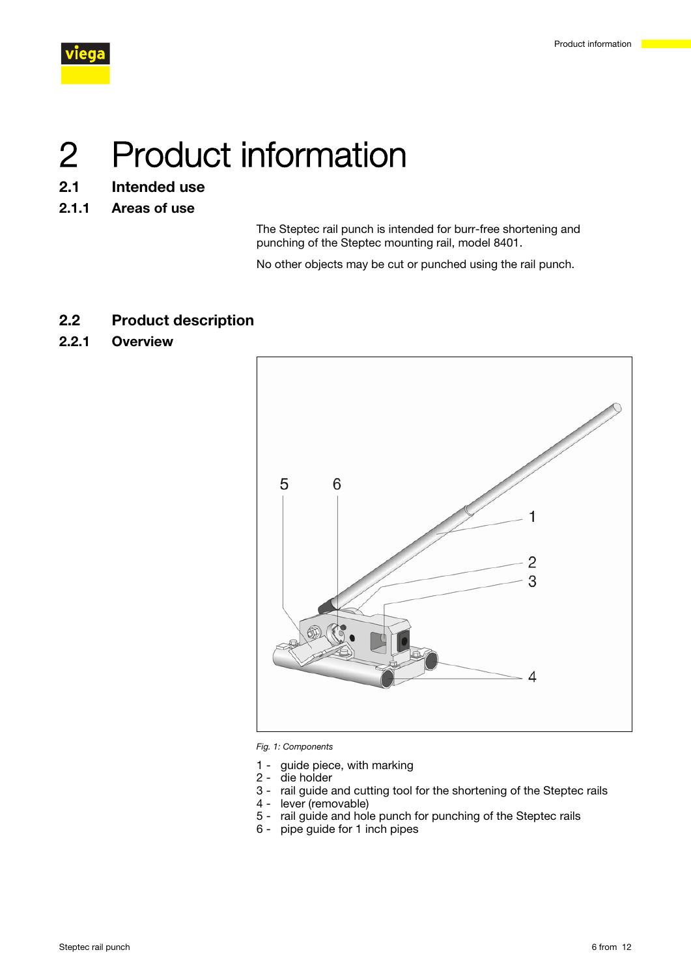<span id="page-5-0"></span>

## 2 Product information

- 2.1 Intended use
- 2.1.1 Areas of use

The Steptec rail punch is intended for burr-free shortening and punching of the Steptec mounting rail, model 8401.

No other objects may be cut or punched using the rail punch.

### 2.2 Product description

2.2.1 Overview



*Fig. 1: Components*

- 1 guide piece, with marking
- 2 die holder
- 3 rail guide and cutting tool for the shortening of the Steptec rails
- 4 lever (removable)
- 5 rail guide and hole punch for punching of the Steptec rails
- 6 pipe guide for 1 inch pipes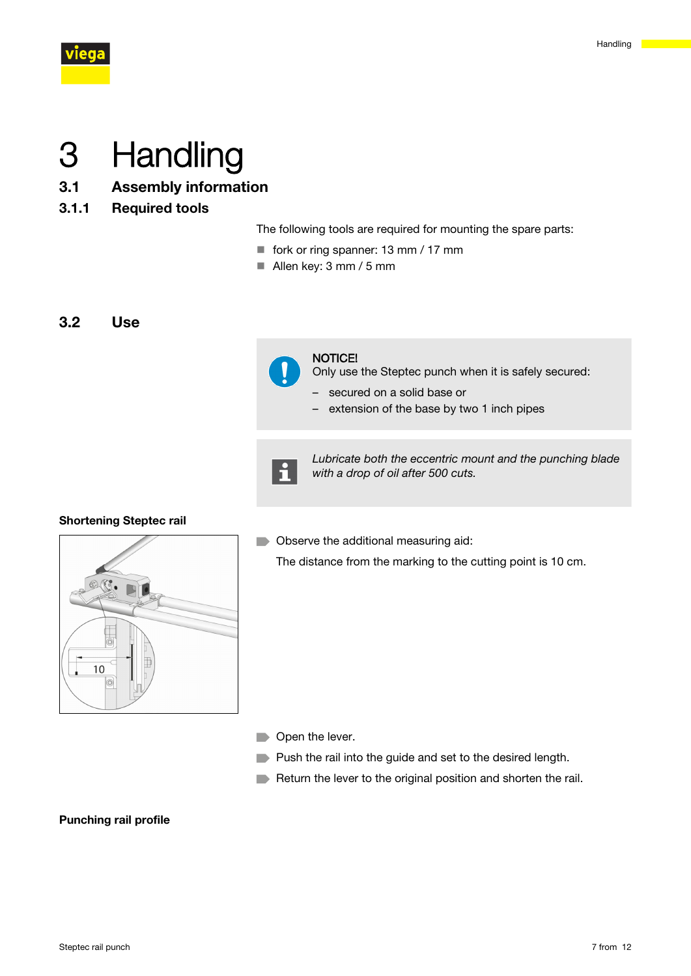<span id="page-6-0"></span>

# 3 Handling

- 3.1 Assembly information
- 3.1.1 Required tools

The following tools are required for mounting the spare parts:

- $\blacksquare$  fork or ring spanner: 13 mm / 17 mm
- $\blacksquare$  Allen key: 3 mm / 5 mm

### 3.2 Use



#### NOTICE!

Only use the Steptec punch when it is safely secured:

- secured on a solid base or
- extension of the base by two 1 inch pipes



*Lubricate both the eccentric mount and the punching blade with a drop of oil after 500 cuts.*

#### Shortening Steptec rail



**D** Observe the additional measuring aid:

The distance from the marking to the cutting point is 10 cm.

- **D** Open the lever.
- **Push the rail into the guide and set to the desired length.**
- Return the lever to the original position and shorten the rail.

#### Punching rail profile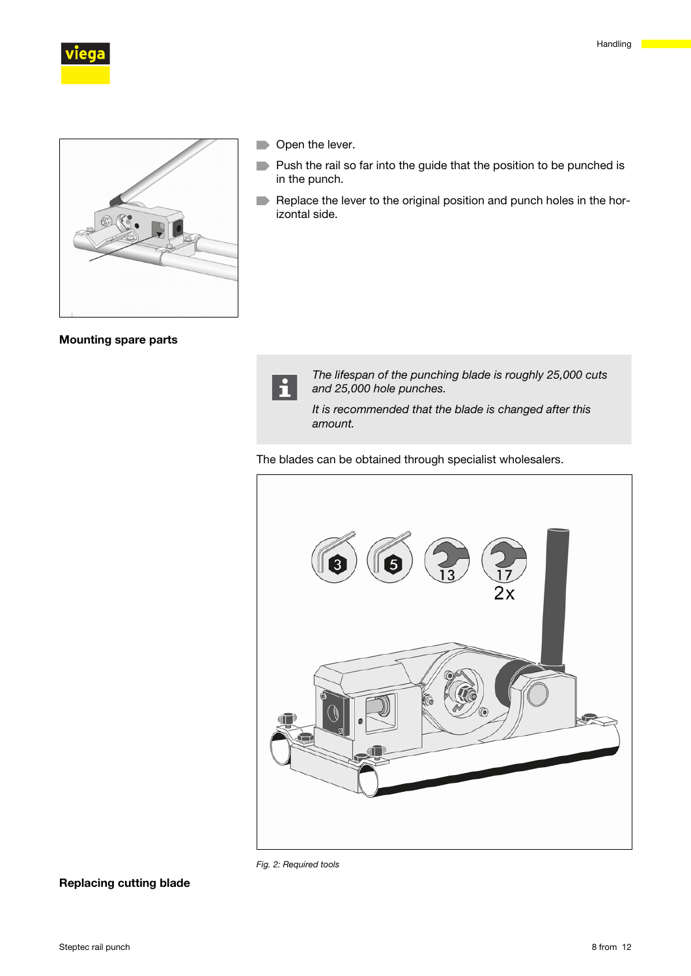



#### Mounting spare parts

H

in the punch.

izontal side.

*The lifespan of the punching blade is roughly 25,000 cuts and 25,000 hole punches.*

*It is recommended that the blade is changed after this amount.*

The blades can be obtained through specialist wholesalers.





#### Replacing cutting blade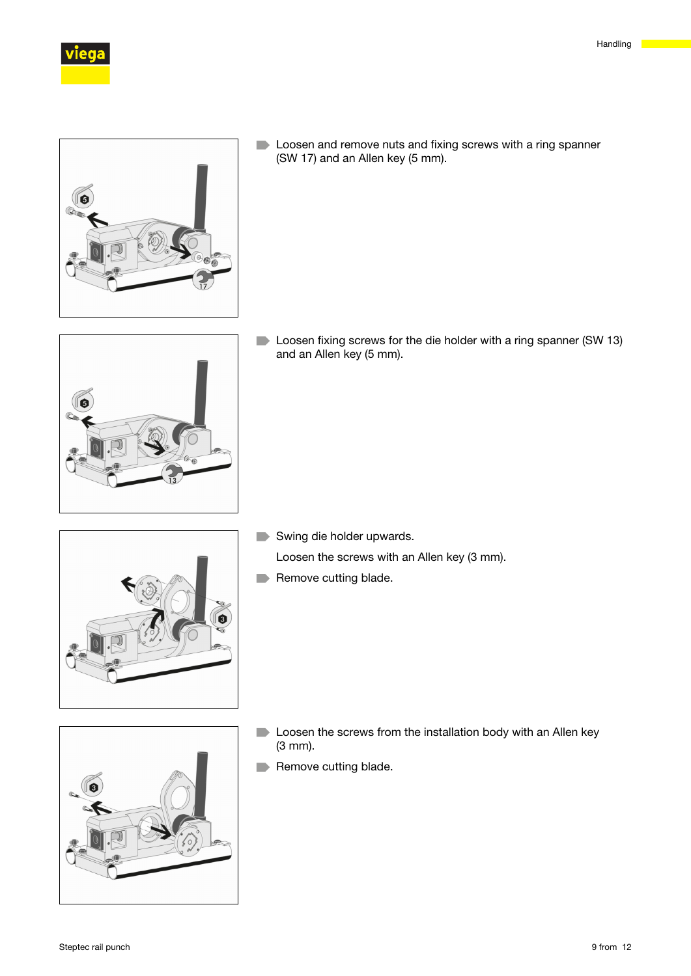



**Loosen and remove nuts and fixing screws with a ring spanner** (SW 17) and an Allen key (5 mm).





- Swing die holder upwards. Loosen the screws with an Allen key (3 mm). Remove cutting blade.
- - **Loosen the screws from the installation body with an Allen key** (3 mm).
	- Remove cutting blade.

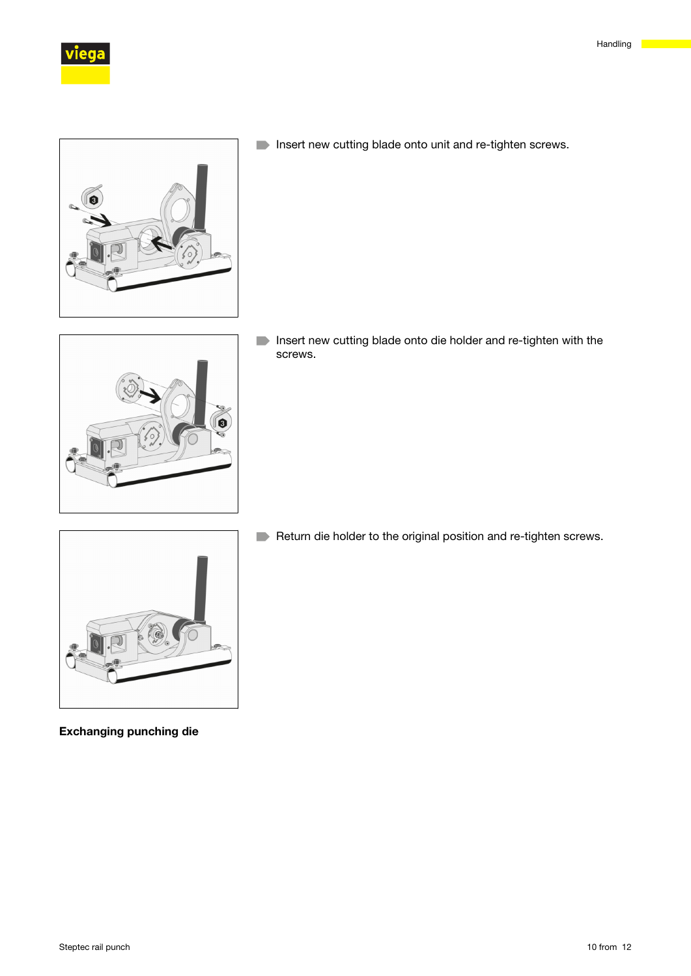



**Insert new cutting blade onto unit and re-tighten screws.** 



Insert new cutting blade onto die holder and re-tighten with the screws.



Return die holder to the original position and re-tighten screws.

Exchanging punching die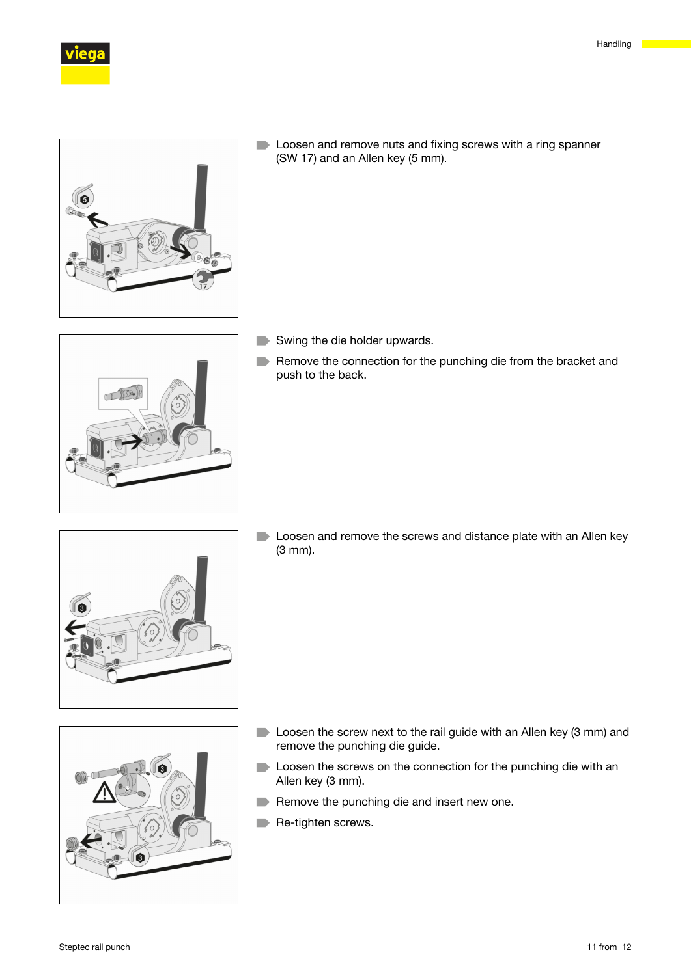



**Loosen and remove nuts and fixing screws with a ring spanner** (SW 17) and an Allen key (5 mm).



- Swing the die holder upwards.
- Remove the connection for the punching die from the bracket and push to the back.



**Loosen and remove the screws and distance plate with an Allen key** (3 mm).



- **Loosen the screw next to the rail guide with an Allen key (3 mm) and** remove the punching die guide.
- **Loosen the screws on the connection for the punching die with an** Allen key (3 mm).
- Remove the punching die and insert new one.
- Re-tighten screws.